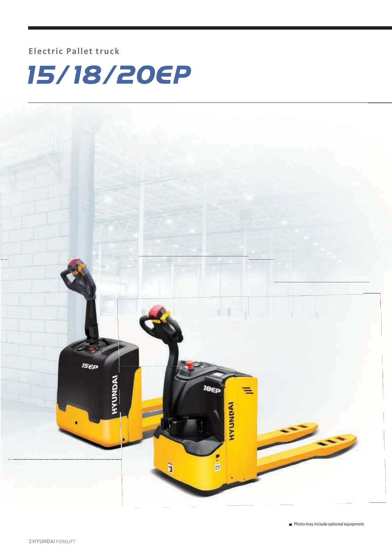### **Electric Pallet truck**



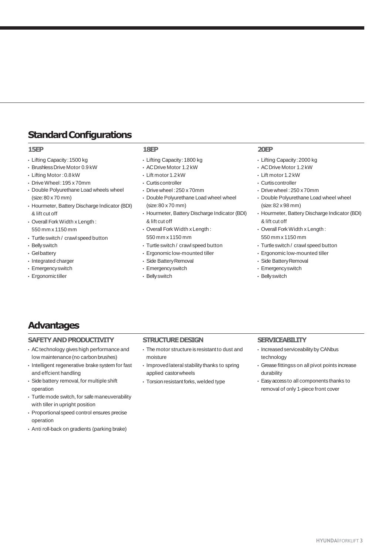### **StandardConfigurations**

#### **15EP**

- Lifting Capacity:1500 kg
- BrushlessDrive Motor 0.9 kW
- Lifting Motor :0.8 kW
- DriveWheel:195 x 70mm
- Double Polyurethane Load wheels wheel
- (size:80 x 70 mm) • Hourmeter, Battery Discharge Indicator (BDI) & lift cut off
- Overall Fork Width x Length : 550 mm x 1150 mm
- Turtle switch / crawl speed button
- Bellyswitch
- Gelbattery
- Integrated charger
- Emergencyswitch
- Ergonomictiller

#### **18EP**

- Lifting Capacity:1800 kg
- ACDrive Motor 1.2 kW
- Lift motor 1.2 kW
- Curtiscontroller
- Drive wheel :250 x 70mm
- Double Polyurethane Load wheel wheel (size:80 x 70 mm)
- Hourmeter, Battery Discharge Indicator (BDI) & lift cut off
- Overall Fork Width x Length : 550 mm x 1150 mm
- Turtleswitch / crawl speed button
- Ergonomic low-mounted tiller
- Side Battery Removal
- Emergencyswitch
- Bellyswitch

### **20EP**

- Lifting Capacity:2000 kg
- ACDrive Motor 1.2 kW
- Lift motor 1.2 kW
- Curtiscontroller
- Drive wheel :250 x 70mm
- Double Polyurethane Load wheel wheel (size:82 x 98 mm)
- Hourmeter, Battery Discharge Indicator (BDI) & lift cut off
- Overall Fork Width x Length : 550 mm x 1150 mm
- Turtleswitch / crawl speed button
- Ergonomic low-mounted tiller
- Side Battery Removal
- Emergencyswitch
- Bellyswitch

### **Advantages**

#### **SAFETY AND PRODUCTIVITY**

- ACtechnology gives high performance and low maintenance(no carbon brushes)
- Intelligent regenerative brake system for fast and effcient handling
- Side battery removal, for multiple shift operation
- Turtle mode switch, for safe maneuverability with tiller in upright position
- Proportional speed control ensures precise operation
- Anti roll-back on gradients (parking brake)

#### **STRUCTURE DESIGN**

- The motor structure is resistant to dust and moisture
- Improved lateral stability thanks to spring applied castorwheels
- $\cdot$  Torsion resistant forks, welded type

#### **SERVICEABILITY**

- Increased serviceability by CANbus technology
- Grease fittingss on all pivot points increase durability
- Easyaccessto all components thanks to removal of only 1-piece front cover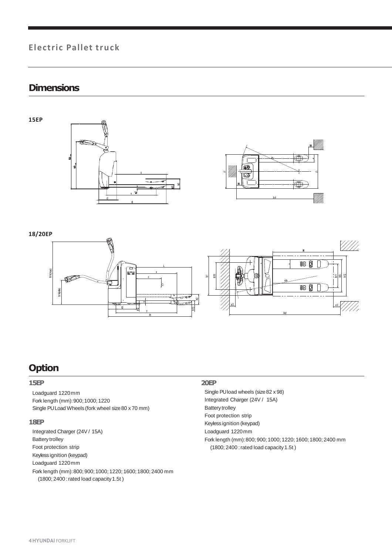### **Electric Pallet truck**

### **Dimensions**







### **18/20EP**



### **Option**

### **15EP**

Loadguard 1220mm Fork length (mm):900; 1000; 1220 Single PULoad Wheels (fork wheel size80 x 70 mm)

### **18EP**

Integrated Charger (24V / 15A) Battery trolley Foot protection strip Keyless ignition (keypad) Loadguard 1220mm Fork length (mm):800; 900; 1000; 1220; 1600; 1800; 2400 mm (1800; 2400 : rated load capacity 1.5t)

### **20EP**

- Single PU load wheels (size82 x 98) Integrated Charger (24V / 15A) Battery trolley Foot protection strip Keyless ignition (keypad) Loadguard 1220mm Fork length (mm):800; 900; 1000; 1220; 1600; 1800; 2400 mm
- (1800; 2400 : rated load capacity 1.5t)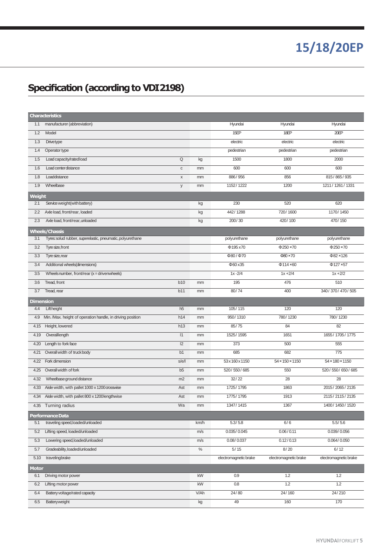# **15/18/20EP**

## **Specification (according to VDI2198)**

| <b>Characteristics</b> |                                                            |                |      |                       |                             |                       |
|------------------------|------------------------------------------------------------|----------------|------|-----------------------|-----------------------------|-----------------------|
| 1.1                    | manufacturer (abbreviation)                                |                |      | Hyundai               | Hyundai                     | Hyundai               |
| 1.2                    | Model                                                      |                |      | 15EP                  | 18EP                        | 20EP                  |
| 1.3                    | Drivetype                                                  |                |      | electric              | electric                    | electric              |
| 1.4                    | Operator type                                              |                |      | pedestrian            | pedestrian                  | pedestrian            |
| 1.5                    | Load capacity/ratedload                                    | Q              | kg   | 1500                  | 1800                        | 2000                  |
| 1.6                    | Load center distance                                       | $\mathbf C$    | mm   | 600                   | 600                         | 600                   |
| 1.8                    | Loaddistance                                               | $\mathsf X$    | mm   | 886/956               | 856                         | 815 / 865 / 935       |
| 1.9                    | Wheelbase                                                  | У              | mm   | 1152/1222             | 1200                        | 1211 / 1261 / 1331    |
| <b>Weight</b>          |                                                            |                |      |                       |                             |                       |
| 2.1                    | Service weight (with battery)                              |                | kg   | 230                   | 520                         | 620                   |
| 2.2                    | Axle load, front/rear, loaded                              |                | kg   | 442/1288              | 720/1600                    | 1170/1450             |
| 2.3                    | Axle load, front/rear, unloaded                            |                | kg   | 200/30                | 420/100                     | 470/150               |
| <b>Wheels/Chassis</b>  |                                                            |                |      |                       |                             |                       |
| 3.1                    | Tyres: solud rubber, superelastic, pneumatic, polyurethane |                |      | polyurethane          | polyurethane                | polyurethane          |
| 3.2                    | Tyre size, front                                           |                |      | Φ195 x70              | $\Phi$ 250 ×70              | $\Phi$ 250 ×70        |
| 3.3                    | Tyre size, rear                                            |                |      | Ф80/Ф70               | $\Phi$ 80 $\times$ 70       | $\Phi$ 82 × 126       |
| 3.4                    | Additional wheels(dimensions)                              |                |      | Φ60 x35               | $\Phi$ 114 ×60              | $\Phi$ 127 ×57        |
| 3.5                    | Wheels number, front/rear $(x =$ driven wheels)            |                |      | $1x - 2/4$            | $1x + 2/4$                  | $1x + 2/2$            |
| 3.6                    | Tread, front                                               | <b>b10</b>     | mm   | 195                   | 476                         | 510                   |
| 3.7                    | Tread, rear                                                | b11            | mm   | 80/74                 | 400                         | 340 / 370 / 470 / 505 |
| <b>Dimension</b>       |                                                            |                |      |                       |                             |                       |
| 4.4                    | Liftheight                                                 | h <sub>5</sub> | mm   | 105/115               | 120                         | 120                   |
| 4.9                    | Min. /Max. height of operation handle, in driving position | h14            | mm   | 950/1310              | 780/1230                    | 780/1230              |
| 4.15                   | Height, lowered                                            | h13            | mm   | 85/75                 | 84                          | 82                    |
| 4.19                   | Overallength                                               | 1              | mm   | 1525/1595             | 1651                        | 1655/1705/1775        |
| 4.20                   | Length to fork face                                        | 12             | mm   | 373                   | 500                         | 555                   |
| 4.21                   | Overall width of truckbody                                 | b <sub>1</sub> | mm   | 685                   | 682                         | 775                   |
| 4.22                   | Fork dimension                                             | s/e/l          | mm   | 53 x 160 x 1150       | $54 \times 150 \times 1150$ | 54 × 180 × 1150       |
| 4.25                   | Overall width of fork                                      | b5             | mm   | 520/550/685           | 550                         | 520 / 550 / 650 / 685 |
| 4.32                   | Wheelbase ground distance                                  | m2             | mm   | 32/22                 | 28                          | 28                    |
| 4.33                   | Aisle width, with pallet 1000 x 1200 crosswise             | Ast            | mm   | 1725/1795             | 1863                        | 2015/2065/2135        |
| 4.34                   | Aisle width, with pallet 800 x 1200 lengthwise             | Ast            | mm   | 1775/1795             | 1913                        | 2115/2115/2135        |
| 4.35                   | Turning radius                                             | Wa             | mm   | 1347/1415             | 1367                        | 1400/1450/1520        |
| Performance Data       |                                                            |                |      |                       |                             |                       |
| 5.1                    | traveling speed, loaded/unloaded                           |                | km/h | 5.3/5.8               | 6/6                         | 5.5/5.6               |
| 5.2                    | Lifting speed, loaded/unloaded                             |                | m/s  | 0.035/0.045           | 0.06 / 0.11                 | 0.039/0.056           |
| 5.3                    | Lowering speed, loaded/unloaded                            |                | m/s  | 0.08/0.037            | 0.12 / 0.13                 | 0.064/0.050           |
| 5.7                    | Gradeability, loaded/unloaded                              |                | $\%$ | 5/15                  | 8/20                        | 6/12                  |
| 5.10                   | travelingbrake                                             |                |      | electromagnetic brake | electromagnetic brake       | electromagnetic brake |
| <b>Motor</b>           |                                                            |                |      |                       |                             |                       |
| 6.1                    | Driving motor power                                        |                | kW   | 0.9                   | 1.2                         | 1.2                   |
| 6.2                    | Lifting motor power                                        |                | kW   | 0.8                   | 1.2                         | 1.2                   |
| 6.4                    | Battery voltage/rated capacity                             |                | V/Ah | 24/80                 | 24/160                      | 24/210                |
| 6.5                    | Batteryweight                                              |                | kg   | 49                    | 160                         | 170                   |